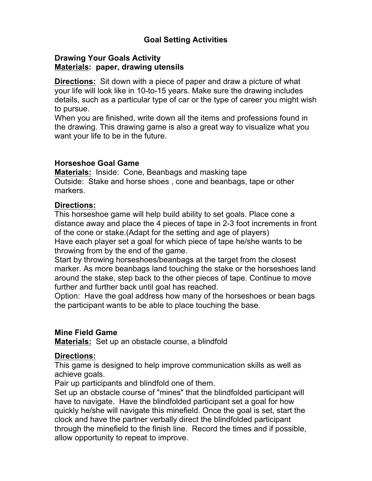### **Goal Setting Activities**

#### **Drawing Your Goals Activity Materials: paper, drawing utensils**

**Directions:** Sit down with a piece of paper and draw a picture of what your life will look like in 10-to-15 years. Make sure the drawing includes details, such as a particular type of car or the type of career you might wish to pursue.

When you are finished, write down all the items and professions found in the drawing. This drawing game is also a great way to visualize what you want your life to be in the future.

#### **Horseshoe Goal Game**

**Materials:** Inside: Cone, Beanbags and masking tape Outside: Stake and horse shoes , cone and beanbags, tape or other markers.

#### **Directions:**

This horseshoe game will help build ability to set goals. Place cone a distance away and place the 4 pieces of tape in 2-3 foot increments in front of the cone or stake.(Adapt for the setting and age of players) Have each player set a goal for which piece of tape he/she wants to be throwing from by the end of the game.

Start by throwing horseshoes/beanbags at the target from the closest marker. As more beanbags land touching the stake or the horseshoes land around the stake, step back to the other pieces of tape. Continue to move further and further back until goal has reached.

Option: Have the goal address how many of the horseshoes or bean bags the participant wants to be able to place touching the base.

#### **Mine Field Game**

**Materials:** Set up an obstacle course, a blindfold

#### **Directions:**

This game is designed to help improve communication skills as well as achieve goals.

Pair up participants and blindfold one of them.

Set up an obstacle course of "mines" that the blindfolded participant will have to navigate. Have the blindfolded participant set a goal for how quickly he/she will navigate this minefield. Once the goal is set, start the clock and have the partner verbally direct the blindfolded participant through the minefield to the finish line. Record the times and if possible, allow opportunity to repeat to improve.